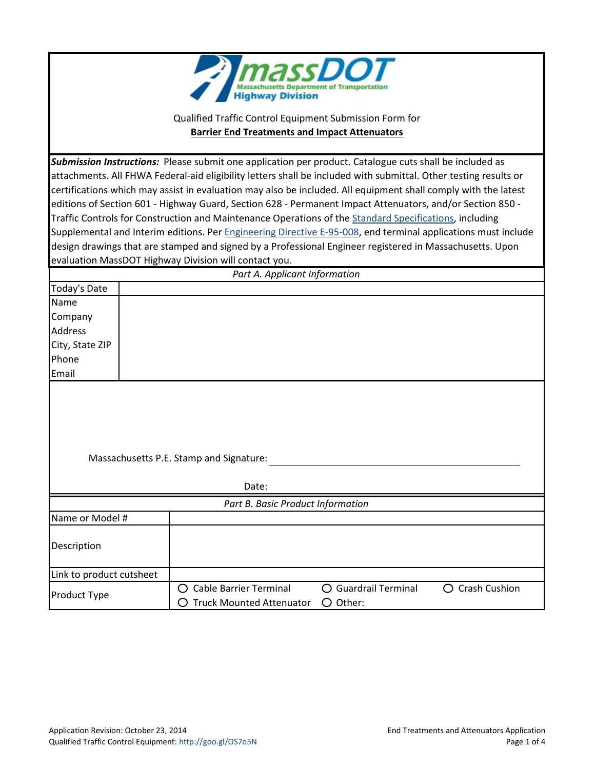

Qualified Traffic Control Equipment Submission Form for **Barrier End Treatments and Impact Attenuators**

*Submission Instructions:* Please submit one application per product. Catalogue cuts shall be included as attachments. All FHWA Federal-aid eligibility letters shall be included with submittal. Other testing results or certifications which may assist in evaluation may also be included. All equipment shall comply with the latest editions of Section 601 - Highway Guard, Section 628 - Permanent Impact Attenuators, and/or Section 850 - Traffic Controls for Construction and Maintenance Operations of the [Standard Specifications,](http://www.massdot.state.ma.us/highway/DoingBusinessWithUs/ManualsPublicationsForms.aspx) including Supplemental and Interim editions. Per [Engineering Directive E-95-008,](http://www.massdot.state.ma.us/Portals/8/docs/engineeringDirectives/1995/e-95-008.pdf) end terminal applications must include design drawings that are stamped and signed by a Professional Engineer registered in Massachusetts. Upon evaluation MassDOT Highway Division will contact you.

| Part A. Applicant Information |  |  |  |
|-------------------------------|--|--|--|
| Today's Date                  |  |  |  |
| Name                          |  |  |  |
| Company                       |  |  |  |
| Address                       |  |  |  |
| City, State ZIP               |  |  |  |
| Phone                         |  |  |  |
| Email                         |  |  |  |
|                               |  |  |  |

Massachusetts P.E. Stamp and Signature:

Date: *Part B. Basic Product Information* Name or Model # Description Link to product cutsheet Product Type 
C Cable Barrier Terminal C Guardrail Terminal C Crash Cushion<br>
C Truck Mounted Attenuator C Other: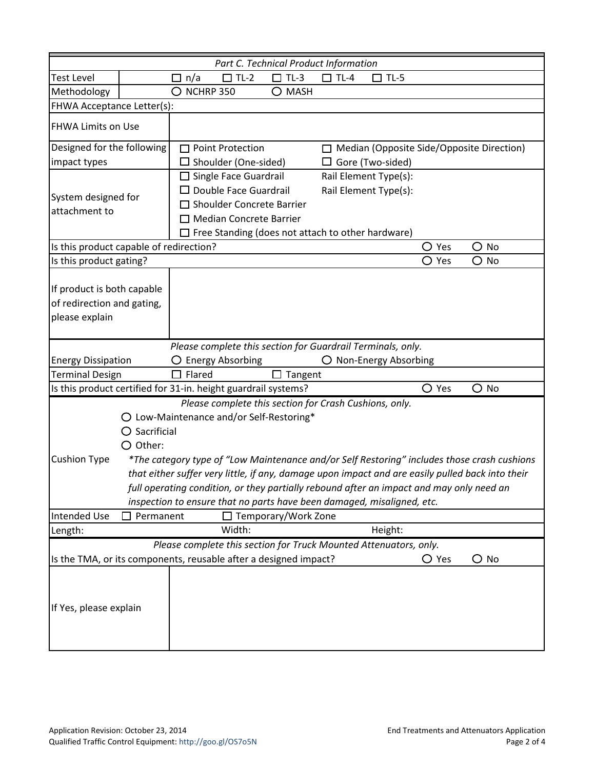| Part C. Technical Product Information                                                                                                                           |                            |                                                                                                                                                                                      |                         |                                                |        |                                                                                                  |                |                                                                                             |
|-----------------------------------------------------------------------------------------------------------------------------------------------------------------|----------------------------|--------------------------------------------------------------------------------------------------------------------------------------------------------------------------------------|-------------------------|------------------------------------------------|--------|--------------------------------------------------------------------------------------------------|----------------|---------------------------------------------------------------------------------------------|
| <b>Test Level</b>                                                                                                                                               |                            | n/a<br>$\Box$                                                                                                                                                                        | $\Box$ TL-2             | $TL-3$                                         | $TL-4$ | $\Box$ TL-5                                                                                      |                |                                                                                             |
| Methodology                                                                                                                                                     |                            | $\bigcirc$ nchrp 350                                                                                                                                                                 |                         | $\bigcirc$ mash                                |        |                                                                                                  |                |                                                                                             |
|                                                                                                                                                                 | FHWA Acceptance Letter(s): |                                                                                                                                                                                      |                         |                                                |        |                                                                                                  |                |                                                                                             |
| <b>FHWA Limits on Use</b>                                                                                                                                       |                            |                                                                                                                                                                                      |                         |                                                |        |                                                                                                  |                |                                                                                             |
| Designed for the following                                                                                                                                      |                            |                                                                                                                                                                                      | <b>Point Protection</b> |                                                |        | □ Median (Opposite Side/Opposite Direction)                                                      |                |                                                                                             |
| impact types                                                                                                                                                    |                            | $\Box$ Shoulder (One-sided)                                                                                                                                                          |                         | $\Box$ Gore (Two-sided)                        |        |                                                                                                  |                |                                                                                             |
| System designed for<br>attachment to                                                                                                                            |                            | $\Box$ Single Face Guardrail<br>$\Box$ Double Face Guardrail<br>□ Shoulder Concrete Barrier<br>□ Median Concrete Barrier<br>$\Box$ Free Standing (does not attach to other hardware) |                         | Rail Element Type(s):<br>Rail Element Type(s): |        |                                                                                                  |                |                                                                                             |
| Is this product capable of redirection?                                                                                                                         |                            |                                                                                                                                                                                      |                         |                                                |        |                                                                                                  | $\bigcirc$ Yes | $\bigcirc$ No                                                                               |
| Is this product gating?                                                                                                                                         |                            |                                                                                                                                                                                      |                         |                                                |        |                                                                                                  | $\bigcirc$ Yes | $\bigcirc$ No                                                                               |
| If product is both capable<br>of redirection and gating,<br>please explain                                                                                      |                            |                                                                                                                                                                                      |                         |                                                |        |                                                                                                  |                |                                                                                             |
|                                                                                                                                                                 |                            |                                                                                                                                                                                      |                         |                                                |        | Please complete this section for Guardrail Terminals, only.                                      |                |                                                                                             |
| <b>Energy Dissipation</b>                                                                                                                                       |                            | $\bigcirc$ Energy Absorbing                                                                                                                                                          |                         |                                                |        | O Non-Energy Absorbing                                                                           |                |                                                                                             |
| <b>Terminal Design</b>                                                                                                                                          |                            | $\Box$ Flared                                                                                                                                                                        |                         | $\Box$ Tangent                                 |        |                                                                                                  |                |                                                                                             |
| Is this product certified for 31-in. height guardrail systems?                                                                                                  |                            |                                                                                                                                                                                      |                         |                                                |        |                                                                                                  | $\bigcirc$ Yes | $\bigcirc$ No                                                                               |
| Please complete this section for Crash Cushions, only.<br>O Low-Maintenance and/or Self-Restoring*<br>$\bigcirc$ Sacrificial<br>$O$ Other:                      |                            |                                                                                                                                                                                      |                         |                                                |        |                                                                                                  |                |                                                                                             |
| <b>Cushion Type</b>                                                                                                                                             |                            |                                                                                                                                                                                      |                         |                                                |        |                                                                                                  |                | *The category type of "Low Maintenance and/or Self Restoring" includes those crash cushions |
|                                                                                                                                                                 |                            |                                                                                                                                                                                      |                         |                                                |        | that either suffer very little, if any, damage upon impact and are easily pulled back into their |                |                                                                                             |
| full operating condition, or they partially rebound after an impact and may only need an                                                                        |                            |                                                                                                                                                                                      |                         |                                                |        |                                                                                                  |                |                                                                                             |
| inspection to ensure that no parts have been damaged, misaligned, etc.                                                                                          |                            |                                                                                                                                                                                      |                         |                                                |        |                                                                                                  |                |                                                                                             |
| <b>Intended Use</b>                                                                                                                                             | Permanent                  |                                                                                                                                                                                      |                         | □ Temporary/Work Zone                          |        |                                                                                                  |                |                                                                                             |
| Length:                                                                                                                                                         |                            |                                                                                                                                                                                      | Width:                  |                                                |        | Height:                                                                                          |                |                                                                                             |
| Please complete this section for Truck Mounted Attenuators, only.<br>Is the TMA, or its components, reusable after a designed impact?<br>$\bigcirc$ Yes<br>O No |                            |                                                                                                                                                                                      |                         |                                                |        |                                                                                                  |                |                                                                                             |
| If Yes, please explain                                                                                                                                          |                            |                                                                                                                                                                                      |                         |                                                |        |                                                                                                  |                |                                                                                             |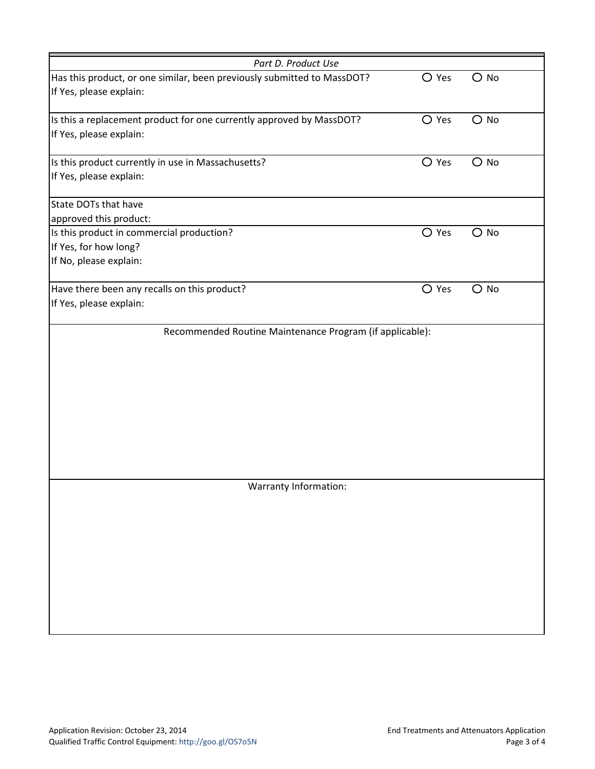| Part D. Product Use                                                     |                |               |
|-------------------------------------------------------------------------|----------------|---------------|
| Has this product, or one similar, been previously submitted to MassDOT? | $\bigcirc$ Yes | $\bigcirc$ No |
| If Yes, please explain:                                                 |                |               |
|                                                                         | $O$ Yes        | $\bigcirc$ No |
| Is this a replacement product for one currently approved by MassDOT?    |                |               |
| If Yes, please explain:                                                 |                |               |
| Is this product currently in use in Massachusetts?                      | $\bigcirc$ Yes | $\bigcirc$ No |
| If Yes, please explain:                                                 |                |               |
| State DOTs that have                                                    |                |               |
| approved this product:                                                  |                |               |
| Is this product in commercial production?                               | $O$ Yes        | $\bigcirc$ No |
| If Yes, for how long?                                                   |                |               |
| If No, please explain:                                                  |                |               |
| Have there been any recalls on this product?                            | $\bigcirc$ Yes | $O$ No        |
| If Yes, please explain:                                                 |                |               |
|                                                                         |                |               |
| Recommended Routine Maintenance Program (if applicable):                |                |               |
|                                                                         |                |               |
|                                                                         |                |               |
|                                                                         |                |               |
|                                                                         |                |               |
|                                                                         |                |               |
|                                                                         |                |               |
|                                                                         |                |               |
|                                                                         |                |               |
|                                                                         |                |               |
|                                                                         |                |               |
| Warranty Information:                                                   |                |               |
|                                                                         |                |               |
|                                                                         |                |               |
|                                                                         |                |               |
|                                                                         |                |               |
|                                                                         |                |               |
|                                                                         |                |               |
|                                                                         |                |               |
|                                                                         |                |               |
|                                                                         |                |               |
|                                                                         |                |               |